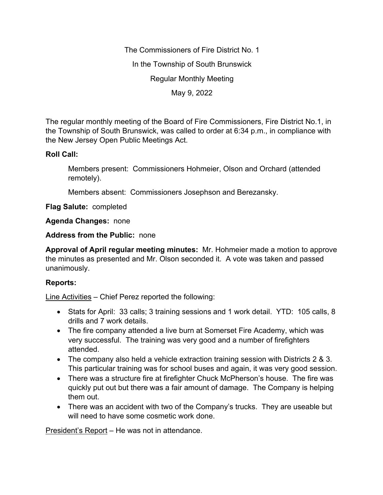The Commissioners of Fire District No. 1 In the Township of South Brunswick Regular Monthly Meeting May 9, 2022

The regular monthly meeting of the Board of Fire Commissioners, Fire District No.1, in the Township of South Brunswick, was called to order at 6:34 p.m., in compliance with the New Jersey Open Public Meetings Act.

## **Roll Call:**

Members present: Commissioners Hohmeier, Olson and Orchard (attended remotely).

Members absent: Commissioners Josephson and Berezansky.

**Flag Salute:** completed

**Agenda Changes:** none

**Address from the Public:** none

**Approval of April regular meeting minutes:** Mr. Hohmeier made a motion to approve the minutes as presented and Mr. Olson seconded it. A vote was taken and passed unanimously.

## **Reports:**

Line Activities – Chief Perez reported the following:

- Stats for April: 33 calls; 3 training sessions and 1 work detail. YTD: 105 calls, 8 drills and 7 work details.
- The fire company attended a live burn at Somerset Fire Academy, which was very successful. The training was very good and a number of firefighters attended.
- The company also held a vehicle extraction training session with Districts 2 & 3. This particular training was for school buses and again, it was very good session.
- There was a structure fire at firefighter Chuck McPherson's house. The fire was quickly put out but there was a fair amount of damage. The Company is helping them out.
- There was an accident with two of the Company's trucks. They are useable but will need to have some cosmetic work done.

President's Report – He was not in attendance.